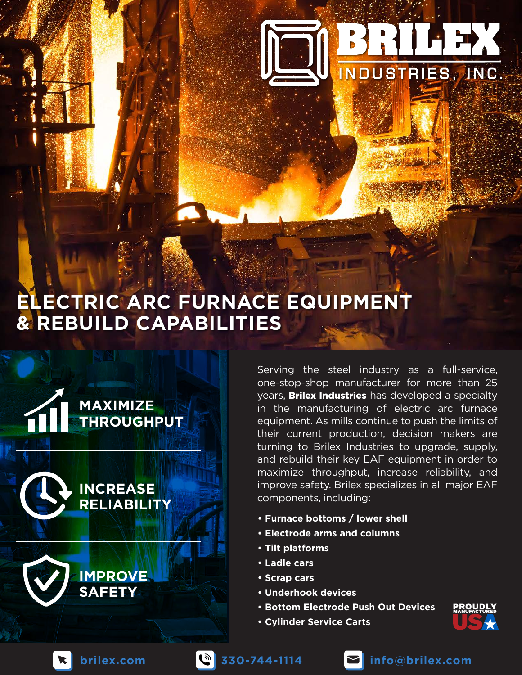# **ELECTRIC ARC FURNACE EQUIPMENT & REBUILD CAPABILITIES**



Serving the steel industry as a full-service, one-stop-shop manufacturer for more than 25 years, **Brilex Industries** has developed a specialty in the manufacturing of electric arc furnace equipment. As mills continue to push the limits of their current production, decision makers are turning to Brilex Industries to upgrade, supply, and rebuild their key EAF equipment in order to maximize throughput, increase reliability, and improve safety. Brilex specializes in all major EAF components, including:

**DE BRILES, INC.** 

- **Furnace bottoms / lower shell**
- **Electrode arms and columns**
- **Tilt platforms**
- **Ladle cars**
- **Scrap cars**
- **Underhook devices**
- **Bottom Electrode Push Out Devices**
- **Cylinder Service Carts**







**brilex.com 330-744-1114 info@brilex.com**